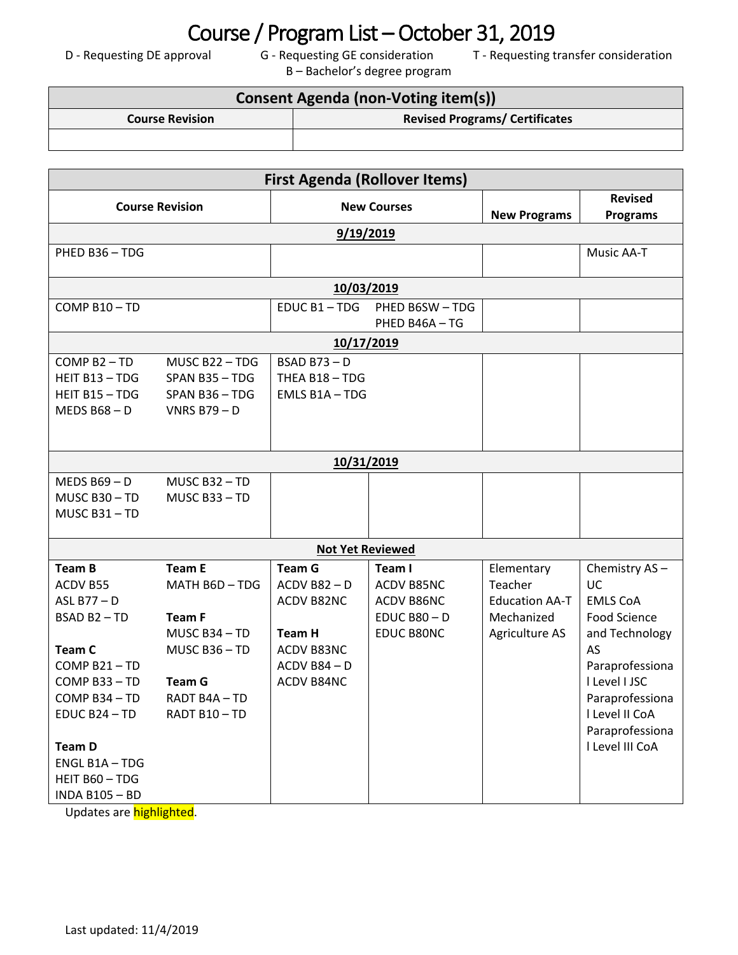## **Course / Program List – October 31, 2019**<br>Foval G - Requesting GE consideration T - Requesting t

B – Bachelor's degree program

D - Requesting DE approval G - Requesting GE consideration T - Requesting transfer consideration

| <b>Consent Agenda (non-Voting item(s))</b> |                                       |  |  |
|--------------------------------------------|---------------------------------------|--|--|
| <b>Course Revision</b>                     | <b>Revised Programs/ Certificates</b> |  |  |
|                                            |                                       |  |  |

| <b>First Agenda (Rollover Items)</b> |                   |                         |                               |                       |                                   |  |  |  |
|--------------------------------------|-------------------|-------------------------|-------------------------------|-----------------------|-----------------------------------|--|--|--|
| <b>Course Revision</b>               |                   | <b>New Courses</b>      |                               | <b>New Programs</b>   | <b>Revised</b><br><b>Programs</b> |  |  |  |
| 9/19/2019                            |                   |                         |                               |                       |                                   |  |  |  |
| PHED B36 - TDG                       |                   |                         |                               |                       | <b>Music AA-T</b>                 |  |  |  |
|                                      |                   |                         |                               |                       |                                   |  |  |  |
| 10/03/2019                           |                   |                         |                               |                       |                                   |  |  |  |
| COMP B10-TD                          |                   | EDUC B1-TDG             | PHED B6SW-TDG<br>PHED B46A-TG |                       |                                   |  |  |  |
|                                      |                   | 10/17/2019              |                               |                       |                                   |  |  |  |
| COMP B2-TD                           | MUSC B22-TDG      | $BSAD B73 - D$          |                               |                       |                                   |  |  |  |
| HEIT B13-TDG                         | SPAN B35-TDG      | THEA B18 - TDG          |                               |                       |                                   |  |  |  |
| HEIT B15 - TDG                       | SPAN B36-TDG      | EMLS B1A-TDG            |                               |                       |                                   |  |  |  |
| <b>MEDS B68-D</b>                    | <b>VNRS B79-D</b> |                         |                               |                       |                                   |  |  |  |
|                                      |                   |                         |                               |                       |                                   |  |  |  |
|                                      |                   | 10/31/2019              |                               |                       |                                   |  |  |  |
| <b>MEDS B69-D</b>                    | MUSC B32-TD       |                         |                               |                       |                                   |  |  |  |
| MUSC B30-TD                          | MUSC B33-TD       |                         |                               |                       |                                   |  |  |  |
| MUSC B31-TD                          |                   |                         |                               |                       |                                   |  |  |  |
|                                      |                   | <b>Not Yet Reviewed</b> |                               |                       |                                   |  |  |  |
| <b>Team B</b>                        | <b>Team E</b>     | <b>Team G</b>           | Team I                        | Elementary            | Chemistry AS-                     |  |  |  |
| ACDV B55                             | MATH B6D - TDG    | $ACDV$ B82 - D          | ACDV B85NC                    | Teacher               | <b>UC</b>                         |  |  |  |
| ASL B77-D                            |                   | ACDV B82NC              | ACDV B86NC                    | <b>Education AA-T</b> | <b>EMLS CoA</b>                   |  |  |  |
| BSAD B2-TD                           | <b>Team F</b>     |                         | $EDUCB80 - D$                 | Mechanized            | Food Science                      |  |  |  |
|                                      | MUSC B34 - TD     | <b>Team H</b>           | EDUC B80NC                    | Agriculture AS        | and Technology                    |  |  |  |
| Team C                               | MUSC B36-TD       | ACDV B83NC              |                               |                       | AS                                |  |  |  |
| COMP B21-TD                          |                   | ACDV B84-D              |                               |                       | Paraprofessiona                   |  |  |  |
| COMP B33-TD                          | <b>Team G</b>     | ACDV B84NC              |                               |                       | I Level I JSC                     |  |  |  |
| COMP B34-TD                          | RADT B4A-TD       |                         |                               |                       | Paraprofessiona                   |  |  |  |
| EDUC B24 - TD                        | RADT B10-TD       |                         |                               |                       | I Level II CoA<br>Paraprofessiona |  |  |  |
| <b>Team D</b>                        |                   |                         |                               |                       | I Level III CoA                   |  |  |  |
| ENGL B1A-TDG                         |                   |                         |                               |                       |                                   |  |  |  |
| HEIT B60 - TDG                       |                   |                         |                               |                       |                                   |  |  |  |
| <b>INDA B105 - BD</b>                |                   |                         |                               |                       |                                   |  |  |  |

Updates are **highlighted**.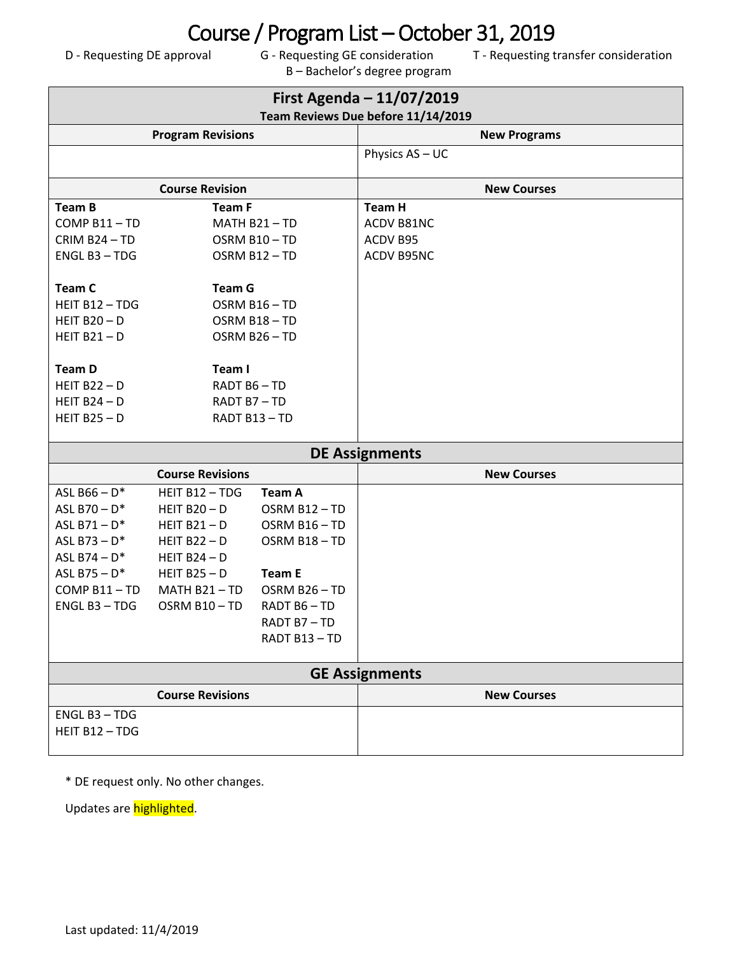## **Course / Program List – October 31, 2019**<br>Formal G - Requesting GE consideration T - Requesting t

B – Bachelor's degree program

D - Requesting DE approval G - Requesting GE consideration T - Requesting transfer consideration

| First Agenda - 11/07/2019<br>Team Reviews Due before 11/14/2019 |                         |                           |                       |                    |  |  |
|-----------------------------------------------------------------|-------------------------|---------------------------|-----------------------|--------------------|--|--|
| <b>Program Revisions</b>                                        |                         |                           | <b>New Programs</b>   |                    |  |  |
|                                                                 |                         |                           | Physics AS - UC       |                    |  |  |
|                                                                 | <b>Course Revision</b>  |                           |                       | <b>New Courses</b> |  |  |
| <b>Team B</b>                                                   | <b>Team F</b>           |                           | <b>Team H</b>         |                    |  |  |
| COMP B11-TD                                                     |                         | MATH B21-TD               | ACDV B81NC            |                    |  |  |
| CRIM B24-TD                                                     |                         | OSRM B10-TD               | ACDV B95              |                    |  |  |
| ENGL B3 - TDG                                                   | OSRM B12-TD             |                           | ACDV B95NC            |                    |  |  |
| <b>Team C</b>                                                   | <b>Team G</b>           |                           |                       |                    |  |  |
| HEIT B12 - TDG                                                  | OSRM B16-TD             |                           |                       |                    |  |  |
| HEIT $B20 - D$                                                  | OSRM B18-TD             |                           |                       |                    |  |  |
| HEIT $B21 - D$                                                  | OSRM B26-TD             |                           |                       |                    |  |  |
|                                                                 |                         |                           |                       |                    |  |  |
| <b>Team D</b>                                                   | Team I                  |                           |                       |                    |  |  |
| HEIT $B22 - D$                                                  | RADT B6-TD              |                           |                       |                    |  |  |
| HEIT $B24 - D$                                                  | RADT B7-TD              |                           |                       |                    |  |  |
| HEIT $B25 - D$                                                  | RADT B13-TD             |                           |                       |                    |  |  |
|                                                                 |                         |                           |                       |                    |  |  |
|                                                                 |                         |                           | <b>DE Assignments</b> |                    |  |  |
|                                                                 | <b>Course Revisions</b> |                           |                       | <b>New Courses</b> |  |  |
| ASL B66 $- D^*$                                                 | HEIT B12 - TDG          | <b>Team A</b>             |                       |                    |  |  |
| ASL B70 $-D^*$                                                  | HEIT $B20 - D$          | OSRM B12-TD               |                       |                    |  |  |
| ASL $B71 - D^*$                                                 | HEIT $B21 - D$          | OSRM B16-TD               |                       |                    |  |  |
| ASL B73 $- D^*$                                                 | HEIT $B22 - D$          | OSRM B18-TD               |                       |                    |  |  |
| ASL B74 - $D^*$                                                 | HEIT $B24 - D$          |                           |                       |                    |  |  |
| ASL B75 $- D^*$                                                 | HEIT $B25 - D$          | <b>Team E</b>             |                       |                    |  |  |
| COMP B11-TD                                                     | MATH B21-TD             | OSRM B26-TD               |                       |                    |  |  |
| ENGL B3 - TDG                                                   | OSRM B10-TD             | RADT B6-TD                |                       |                    |  |  |
|                                                                 |                         | RADT B7-TD<br>RADT B13-TD |                       |                    |  |  |
|                                                                 |                         |                           |                       |                    |  |  |
| <b>GE Assignments</b>                                           |                         |                           |                       |                    |  |  |
|                                                                 | <b>Course Revisions</b> |                           |                       | <b>New Courses</b> |  |  |
| ENGL B3 - TDG                                                   |                         |                           |                       |                    |  |  |
| HEIT B12 - TDG                                                  |                         |                           |                       |                    |  |  |
|                                                                 |                         |                           |                       |                    |  |  |

\* DE request only. No other changes.

Updates are highlighted.